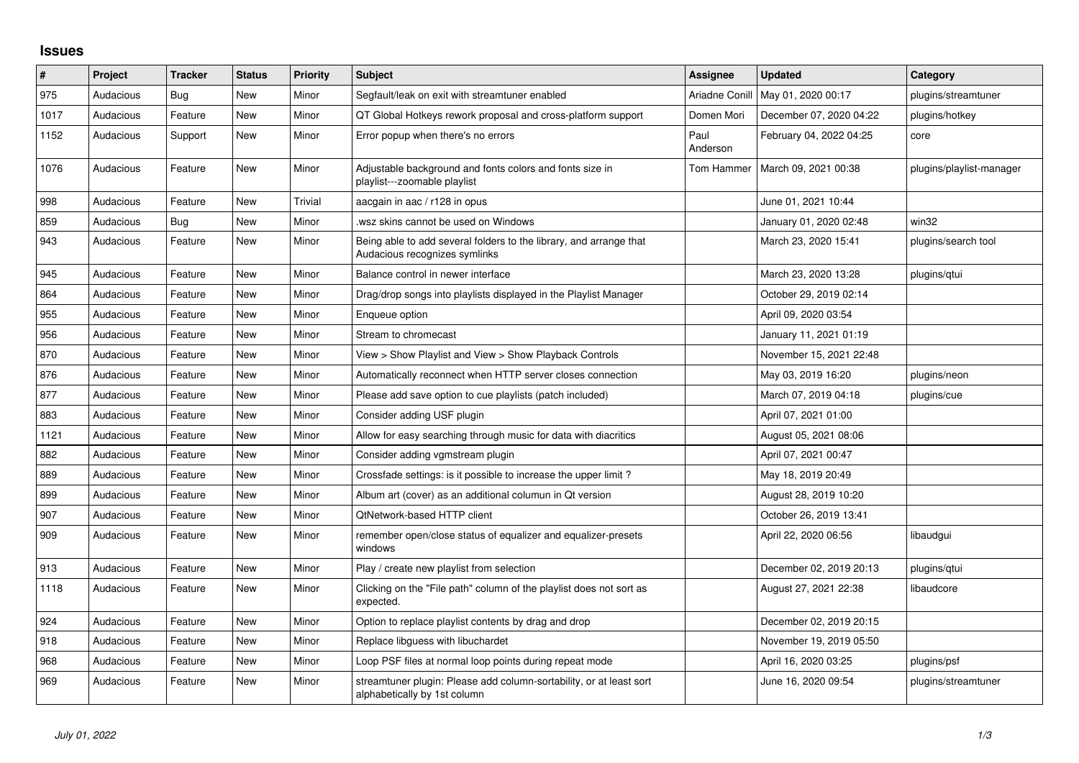## **Issues**

| #    | Project   | <b>Tracker</b> | <b>Status</b> | <b>Priority</b> | <b>Subject</b>                                                                                      | <b>Assignee</b>  | <b>Updated</b>          | Category                 |
|------|-----------|----------------|---------------|-----------------|-----------------------------------------------------------------------------------------------------|------------------|-------------------------|--------------------------|
| 975  | Audacious | <b>Bug</b>     | <b>New</b>    | Minor           | Segfault/leak on exit with streamtuner enabled                                                      | Ariadne Conill   | May 01, 2020 00:17      | plugins/streamtuner      |
| 1017 | Audacious | Feature        | New           | Minor           | QT Global Hotkeys rework proposal and cross-platform support                                        | Domen Mori       | December 07, 2020 04:22 | plugins/hotkey           |
| 1152 | Audacious | Support        | New           | Minor           | Error popup when there's no errors                                                                  | Paul<br>Anderson | February 04, 2022 04:25 | core                     |
| 1076 | Audacious | Feature        | <b>New</b>    | Minor           | Adjustable background and fonts colors and fonts size in<br>playlist---zoomable playlist            | Tom Hammer       | March 09, 2021 00:38    | plugins/playlist-manager |
| 998  | Audacious | Feature        | <b>New</b>    | Trivial         | aacgain in aac / r128 in opus                                                                       |                  | June 01, 2021 10:44     |                          |
| 859  | Audacious | <b>Bug</b>     | New           | Minor           | wsz skins cannot be used on Windows                                                                 |                  | January 01, 2020 02:48  | win32                    |
| 943  | Audacious | Feature        | <b>New</b>    | Minor           | Being able to add several folders to the library, and arrange that<br>Audacious recognizes symlinks |                  | March 23, 2020 15:41    | plugins/search tool      |
| 945  | Audacious | Feature        | <b>New</b>    | Minor           | Balance control in newer interface                                                                  |                  | March 23, 2020 13:28    | plugins/qtui             |
| 864  | Audacious | Feature        | <b>New</b>    | Minor           | Drag/drop songs into playlists displayed in the Playlist Manager                                    |                  | October 29, 2019 02:14  |                          |
| 955  | Audacious | Feature        | New           | Minor           | Enqueue option                                                                                      |                  | April 09, 2020 03:54    |                          |
| 956  | Audacious | Feature        | <b>New</b>    | Minor           | Stream to chromecast                                                                                |                  | January 11, 2021 01:19  |                          |
| 870  | Audacious | Feature        | <b>New</b>    | Minor           | View > Show Playlist and View > Show Playback Controls                                              |                  | November 15, 2021 22:48 |                          |
| 876  | Audacious | Feature        | <b>New</b>    | Minor           | Automatically reconnect when HTTP server closes connection                                          |                  | May 03, 2019 16:20      | plugins/neon             |
| 877  | Audacious | Feature        | <b>New</b>    | Minor           | Please add save option to cue playlists (patch included)                                            |                  | March 07, 2019 04:18    | plugins/cue              |
| 883  | Audacious | Feature        | New           | Minor           | Consider adding USF plugin                                                                          |                  | April 07, 2021 01:00    |                          |
| 1121 | Audacious | Feature        | New           | Minor           | Allow for easy searching through music for data with diacritics                                     |                  | August 05, 2021 08:06   |                          |
| 882  | Audacious | Feature        | <b>New</b>    | Minor           | Consider adding vgmstream plugin                                                                    |                  | April 07, 2021 00:47    |                          |
| 889  | Audacious | Feature        | <b>New</b>    | Minor           | Crossfade settings: is it possible to increase the upper limit?                                     |                  | May 18, 2019 20:49      |                          |
| 899  | Audacious | Feature        | <b>New</b>    | Minor           | Album art (cover) as an additional columun in Qt version                                            |                  | August 28, 2019 10:20   |                          |
| 907  | Audacious | Feature        | <b>New</b>    | Minor           | QtNetwork-based HTTP client                                                                         |                  | October 26, 2019 13:41  |                          |
| 909  | Audacious | Feature        | New           | Minor           | remember open/close status of equalizer and equalizer-presets<br>windows                            |                  | April 22, 2020 06:56    | libaudgui                |
| 913  | Audacious | Feature        | New           | Minor           | Play / create new playlist from selection                                                           |                  | December 02, 2019 20:13 | plugins/qtui             |
| 1118 | Audacious | Feature        | New           | Minor           | Clicking on the "File path" column of the playlist does not sort as<br>expected.                    |                  | August 27, 2021 22:38   | libaudcore               |
| 924  | Audacious | Feature        | New           | Minor           | Option to replace playlist contents by drag and drop                                                |                  | December 02, 2019 20:15 |                          |
| 918  | Audacious | Feature        | New           | Minor           | Replace libguess with libuchardet                                                                   |                  | November 19, 2019 05:50 |                          |
| 968  | Audacious | Feature        | <b>New</b>    | Minor           | Loop PSF files at normal loop points during repeat mode                                             |                  | April 16, 2020 03:25    | plugins/psf              |
| 969  | Audacious | Feature        | New           | Minor           | streamtuner plugin: Please add column-sortability, or at least sort<br>alphabetically by 1st column |                  | June 16, 2020 09:54     | plugins/streamtuner      |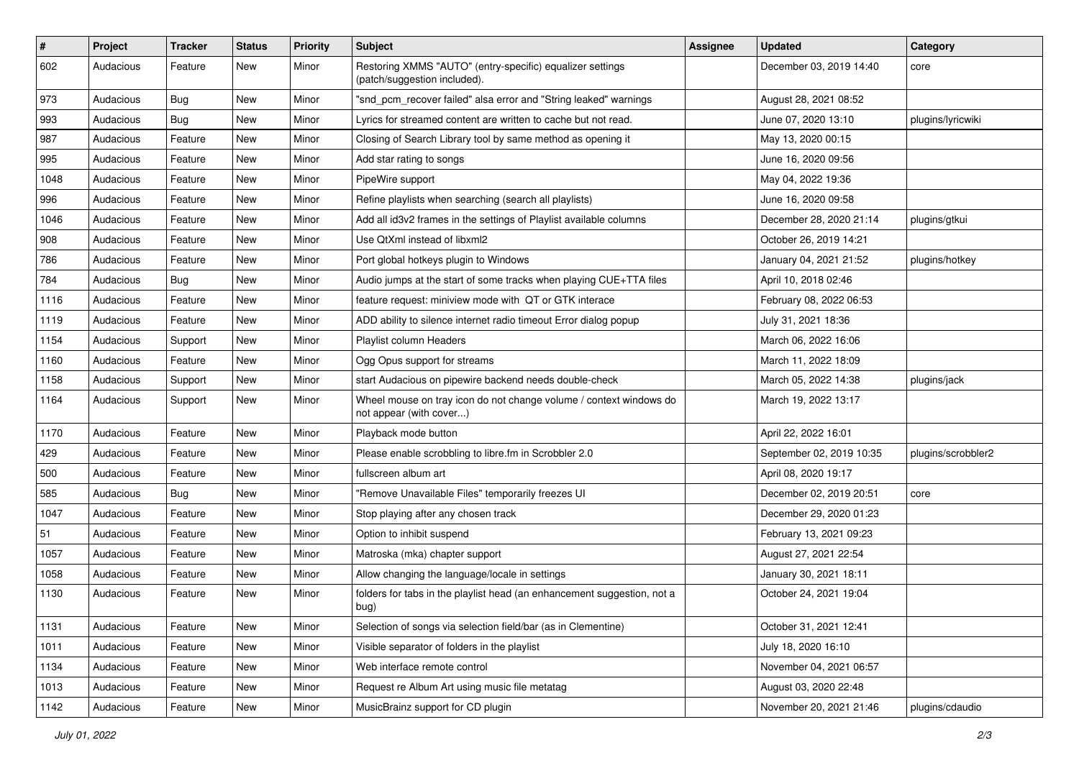| #    | Project   | <b>Tracker</b> | <b>Status</b> | <b>Priority</b> | <b>Subject</b>                                                                                | <b>Assignee</b> | <b>Updated</b>           | Category           |
|------|-----------|----------------|---------------|-----------------|-----------------------------------------------------------------------------------------------|-----------------|--------------------------|--------------------|
| 602  | Audacious | Feature        | New           | Minor           | Restoring XMMS "AUTO" (entry-specific) equalizer settings<br>(patch/suggestion included).     |                 | December 03, 2019 14:40  | core               |
| 973  | Audacious | Bug            | New           | Minor           | "snd_pcm_recover failed" alsa error and "String leaked" warnings                              |                 | August 28, 2021 08:52    |                    |
| 993  | Audacious | Bug            | New           | Minor           | Lyrics for streamed content are written to cache but not read.                                |                 | June 07, 2020 13:10      | plugins/lyricwiki  |
| 987  | Audacious | Feature        | New           | Minor           | Closing of Search Library tool by same method as opening it                                   |                 | May 13, 2020 00:15       |                    |
| 995  | Audacious | Feature        | New           | Minor           | Add star rating to songs                                                                      |                 | June 16, 2020 09:56      |                    |
| 1048 | Audacious | Feature        | New           | Minor           | PipeWire support                                                                              |                 | May 04, 2022 19:36       |                    |
| 996  | Audacious | Feature        | New           | Minor           | Refine playlists when searching (search all playlists)                                        |                 | June 16, 2020 09:58      |                    |
| 1046 | Audacious | Feature        | New           | Minor           | Add all id3v2 frames in the settings of Playlist available columns                            |                 | December 28, 2020 21:14  | plugins/gtkui      |
| 908  | Audacious | Feature        | New           | Minor           | Use QtXml instead of libxml2                                                                  |                 | October 26, 2019 14:21   |                    |
| 786  | Audacious | Feature        | New           | Minor           | Port global hotkeys plugin to Windows                                                         |                 | January 04, 2021 21:52   | plugins/hotkey     |
| 784  | Audacious | Bug            | New           | Minor           | Audio jumps at the start of some tracks when playing CUE+TTA files                            |                 | April 10, 2018 02:46     |                    |
| 1116 | Audacious | Feature        | New           | Minor           | feature request: miniview mode with QT or GTK interace                                        |                 | February 08, 2022 06:53  |                    |
| 1119 | Audacious | Feature        | New           | Minor           | ADD ability to silence internet radio timeout Error dialog popup                              |                 | July 31, 2021 18:36      |                    |
| 1154 | Audacious | Support        | New           | Minor           | Playlist column Headers                                                                       |                 | March 06, 2022 16:06     |                    |
| 1160 | Audacious | Feature        | New           | Minor           | Ogg Opus support for streams                                                                  |                 | March 11, 2022 18:09     |                    |
| 1158 | Audacious | Support        | New           | Minor           | start Audacious on pipewire backend needs double-check                                        |                 | March 05, 2022 14:38     | plugins/jack       |
| 1164 | Audacious | Support        | New           | Minor           | Wheel mouse on tray icon do not change volume / context windows do<br>not appear (with cover) |                 | March 19, 2022 13:17     |                    |
| 1170 | Audacious | Feature        | New           | Minor           | Playback mode button                                                                          |                 | April 22, 2022 16:01     |                    |
| 429  | Audacious | Feature        | New           | Minor           | Please enable scrobbling to libre.fm in Scrobbler 2.0                                         |                 | September 02, 2019 10:35 | plugins/scrobbler2 |
| 500  | Audacious | Feature        | New           | Minor           | fullscreen album art                                                                          |                 | April 08, 2020 19:17     |                    |
| 585  | Audacious | Bug            | New           | Minor           | "Remove Unavailable Files" temporarily freezes UI                                             |                 | December 02, 2019 20:51  | core               |
| 1047 | Audacious | Feature        | New           | Minor           | Stop playing after any chosen track                                                           |                 | December 29, 2020 01:23  |                    |
| 51   | Audacious | Feature        | New           | Minor           | Option to inhibit suspend                                                                     |                 | February 13, 2021 09:23  |                    |
| 1057 | Audacious | Feature        | New           | Minor           | Matroska (mka) chapter support                                                                |                 | August 27, 2021 22:54    |                    |
| 1058 | Audacious | Feature        | New           | Minor           | Allow changing the language/locale in settings                                                |                 | January 30, 2021 18:11   |                    |
| 1130 | Audacious | Feature        | New           | Minor           | folders for tabs in the playlist head (an enhancement suggestion, not a<br>bug)               |                 | October 24, 2021 19:04   |                    |
| 1131 | Audacious | Feature        | New           | Minor           | Selection of songs via selection field/bar (as in Clementine)                                 |                 | October 31, 2021 12:41   |                    |
| 1011 | Audacious | Feature        | New           | Minor           | Visible separator of folders in the playlist                                                  |                 | July 18, 2020 16:10      |                    |
| 1134 | Audacious | Feature        | New           | Minor           | Web interface remote control                                                                  |                 | November 04, 2021 06:57  |                    |
| 1013 | Audacious | Feature        | New           | Minor           | Request re Album Art using music file metatag                                                 |                 | August 03, 2020 22:48    |                    |
| 1142 | Audacious | Feature        | New           | Minor           | MusicBrainz support for CD plugin                                                             |                 | November 20, 2021 21:46  | plugins/cdaudio    |